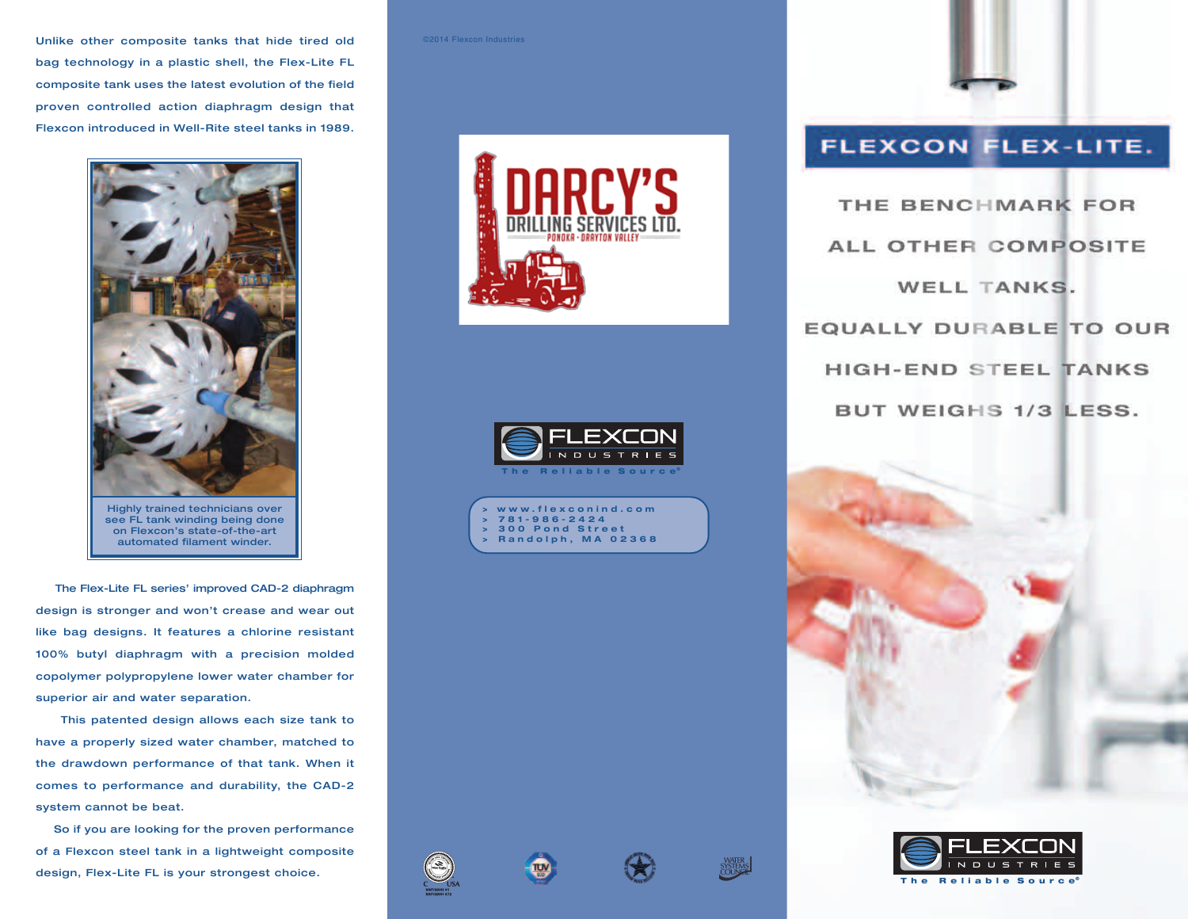**Unlike other composite tanks that hide tired old bag technology in a plastic shell, the Flex-Lite FL composite tank uses the latest evolution of the field proven controlled action diaphragm design that Flexcon introduced in Well-Rite steel tanks in 1989.**



**Highly trained technicians over see FL tank winding being done on Flexcon's state-of-the-art automated filament winder.**

**The Flex-Lite FL series' improved CAD-2 diaphragm design is stronger and won't crease and wear out like bag designs. It features a chlorine resistant 100% butyl diaphragm with a precision molded copolymer polypropylene lower water chamber for superior air and water separation.**

**This patented design allows each size tank to have a properly sized water chamber, matched to the drawdown performance of that tank. When it comes to performance and durability, the CAD-2 system cannot be beat.**

**So if you are looking for the proven performance of a Flexcon steel tank in a lightweight composite design, Flex-Lite FL is your strongest choice.**

## ©2014 Flexcon Industries







## FLEXCON FLEX-LITE.

THE BENCHMARK FOR ALL OTHER COMPOSITE WELL TANKS. EQUALLY DURABLE TO OUR **HIGH-END STEEL TANKS** BUT WEIGHS 1/3 LESS.